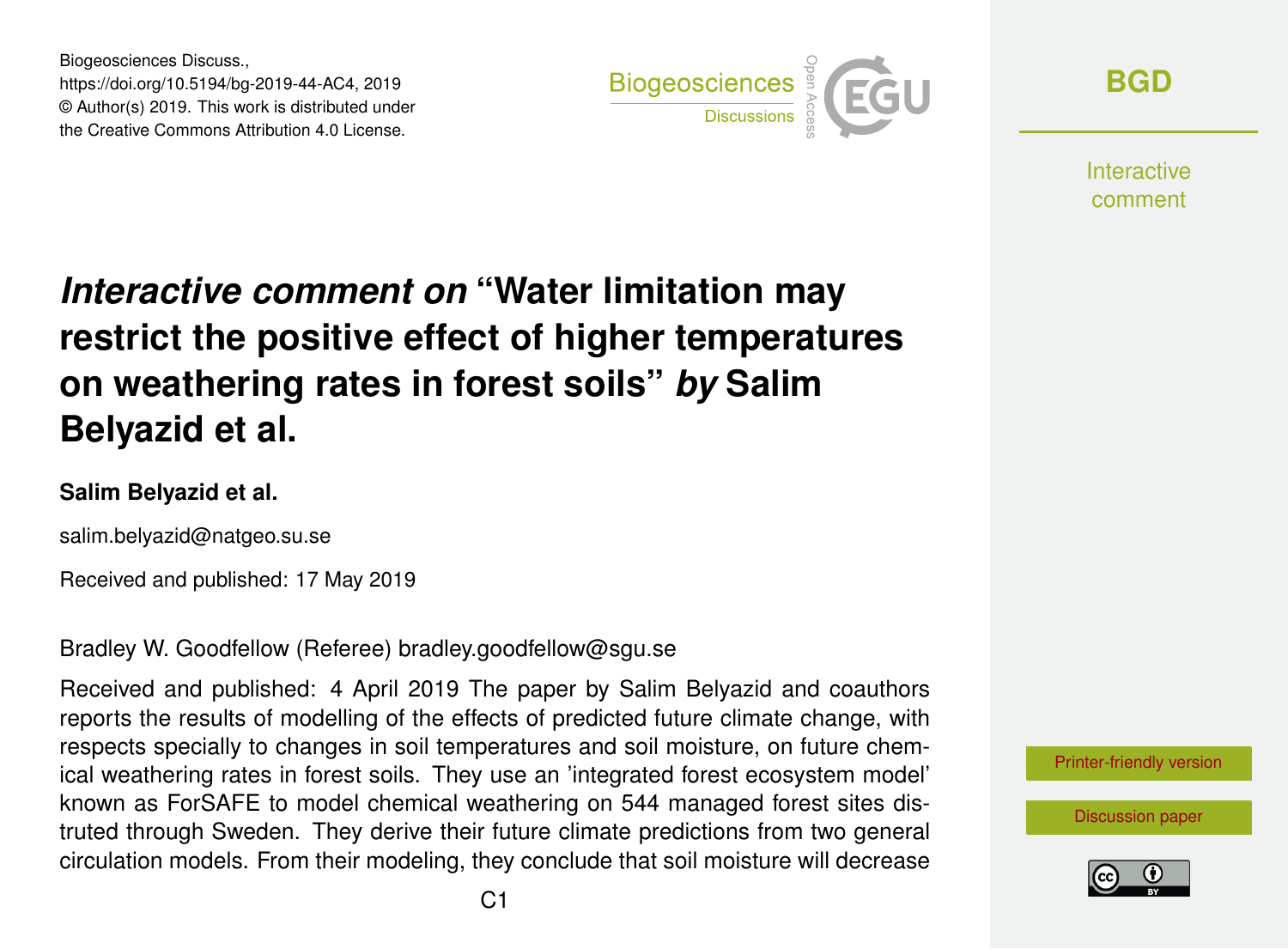Biogeosciences Discuss., https://doi.org/10.5194/bg-2019-44-AC4, 2019 © Author(s) 2019. This work is distributed under the Creative Commons Attribution 4.0 License.



**[BGD](https://www.biogeosciences-discuss.net/)**

**Interactive** comment

# *Interactive comment on* **"Water limitation may restrict the positive effect of higher temperatures on weathering rates in forest soils"** *by* **Salim Belyazid et al.**

#### **Salim Belyazid et al.**

salim.belyazid@natgeo.su.se

Received and published: 17 May 2019

Bradley W. Goodfellow (Referee) bradley.goodfellow@sgu.se

Received and published: 4 April 2019 The paper by Salim Belyazid and coauthors reports the results of modelling of the effects of predicted future climate change, with respects specially to changes in soil temperatures and soil moisture, on future chemical weathering rates in forest soils. They use an 'integrated forest ecosystem model' known as ForSAFE to model chemical weathering on 544 managed forest sites distruted through Sweden. They derive their future climate predictions from two general circulation models. From their modeling, they conclude that soil moisture will decrease



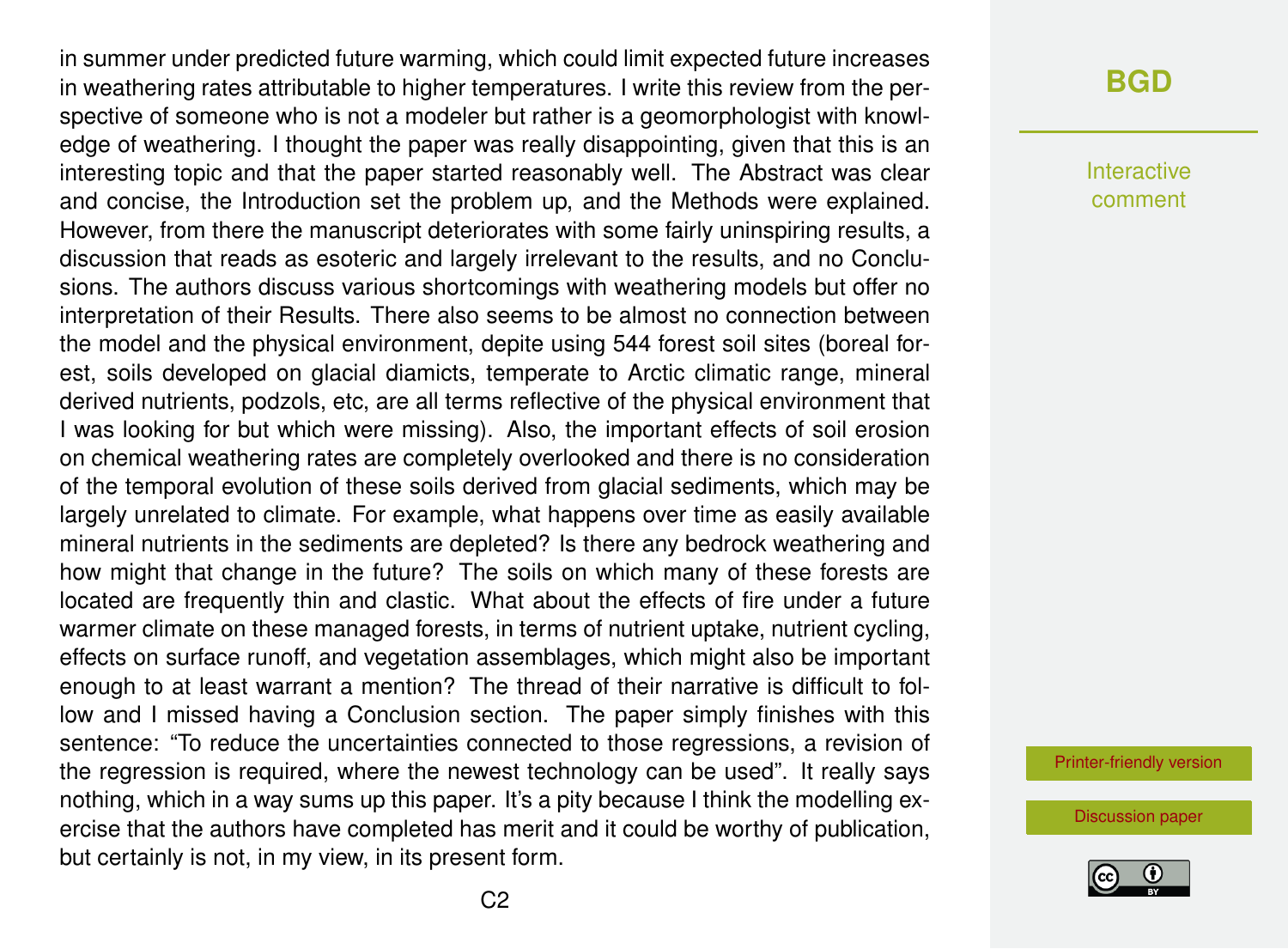in summer under predicted future warming, which could limit expected future increases in weathering rates attributable to higher temperatures. I write this review from the perspective of someone who is not a modeler but rather is a geomorphologist with knowledge of weathering. I thought the paper was really disappointing, given that this is an interesting topic and that the paper started reasonably well. The Abstract was clear and concise, the Introduction set the problem up, and the Methods were explained. However, from there the manuscript deteriorates with some fairly uninspiring results, a discussion that reads as esoteric and largely irrelevant to the results, and no Conclusions. The authors discuss various shortcomings with weathering models but offer no interpretation of their Results. There also seems to be almost no connection between the model and the physical environment, depite using 544 forest soil sites (boreal forest, soils developed on glacial diamicts, temperate to Arctic climatic range, mineral derived nutrients, podzols, etc, are all terms reflective of the physical environment that I was looking for but which were missing). Also, the important effects of soil erosion on chemical weathering rates are completely overlooked and there is no consideration of the temporal evolution of these soils derived from glacial sediments, which may be largely unrelated to climate. For example, what happens over time as easily available mineral nutrients in the sediments are depleted? Is there any bedrock weathering and how might that change in the future? The soils on which many of these forests are located are frequently thin and clastic. What about the effects of fire under a future warmer climate on these managed forests, in terms of nutrient uptake, nutrient cycling, effects on surface runoff, and vegetation assemblages, which might also be important enough to at least warrant a mention? The thread of their narrative is difficult to follow and I missed having a Conclusion section. The paper simply finishes with this sentence: "To reduce the uncertainties connected to those regressions, a revision of the regression is required, where the newest technology can be used". It really says nothing, which in a way sums up this paper. It's a pity because I think the modelling exercise that the authors have completed has merit and it could be worthy of publication, but certainly is not, in my view, in its present form.

#### **[BGD](https://www.biogeosciences-discuss.net/)**

Interactive comment

[Printer-friendly version](https://www.biogeosciences-discuss.net/bg-2019-44/bg-2019-44-AC4-print.pdf)

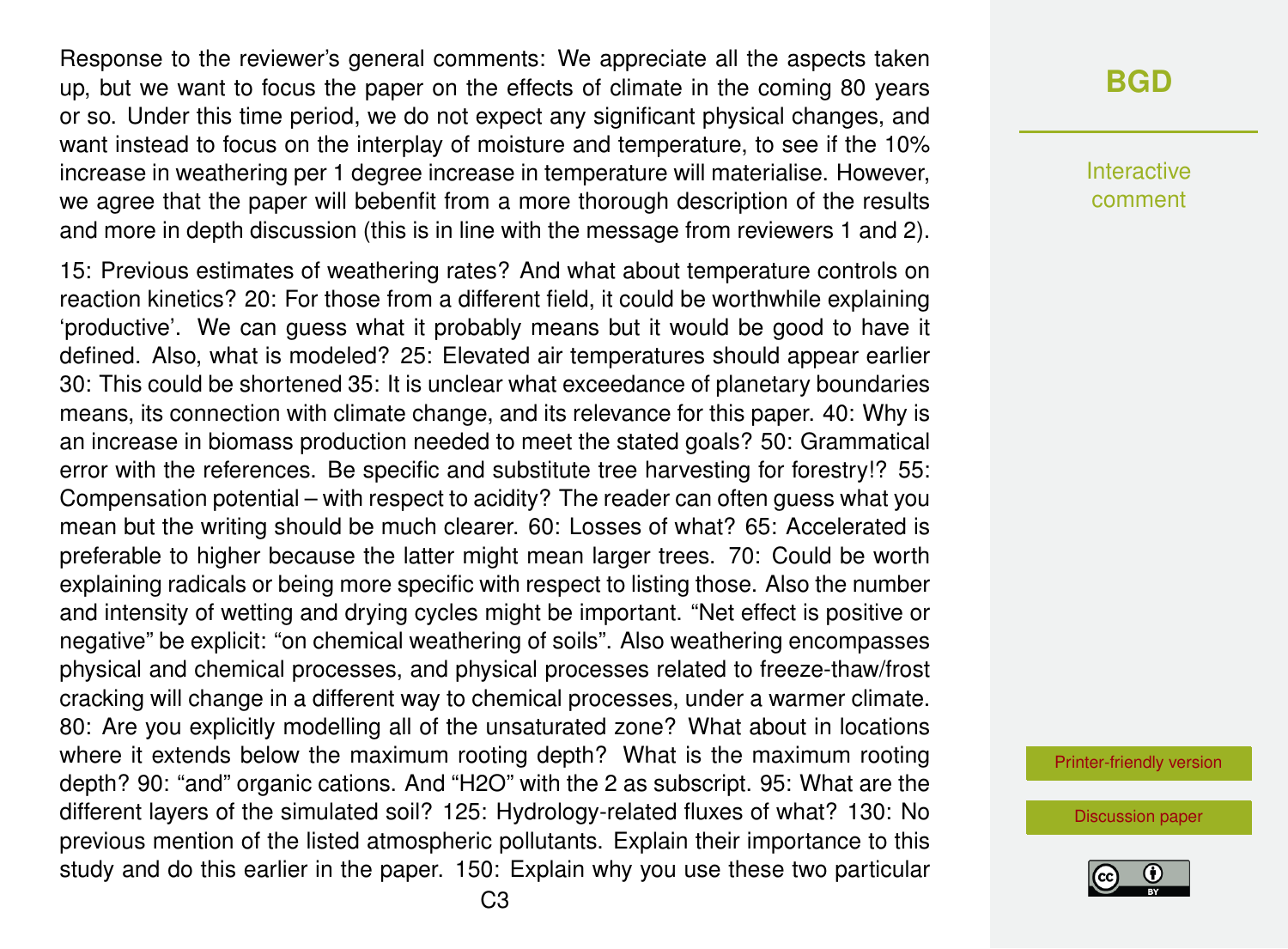Response to the reviewer's general comments: We appreciate all the aspects taken up, but we want to focus the paper on the effects of climate in the coming 80 years or so. Under this time period, we do not expect any significant physical changes, and want instead to focus on the interplay of moisture and temperature, to see if the 10% increase in weathering per 1 degree increase in temperature will materialise. However, we agree that the paper will bebenfit from a more thorough description of the results and more in depth discussion (this is in line with the message from reviewers 1 and 2).

15: Previous estimates of weathering rates? And what about temperature controls on reaction kinetics? 20: For those from a different field, it could be worthwhile explaining 'productive'. We can guess what it probably means but it would be good to have it defined. Also, what is modeled? 25: Elevated air temperatures should appear earlier 30: This could be shortened 35: It is unclear what exceedance of planetary boundaries means, its connection with climate change, and its relevance for this paper. 40: Why is an increase in biomass production needed to meet the stated goals? 50: Grammatical error with the references. Be specific and substitute tree harvesting for forestry!? 55: Compensation potential – with respect to acidity? The reader can often guess what you mean but the writing should be much clearer. 60: Losses of what? 65: Accelerated is preferable to higher because the latter might mean larger trees. 70: Could be worth explaining radicals or being more specific with respect to listing those. Also the number and intensity of wetting and drying cycles might be important. "Net effect is positive or negative" be explicit: "on chemical weathering of soils". Also weathering encompasses physical and chemical processes, and physical processes related to freeze-thaw/frost cracking will change in a different way to chemical processes, under a warmer climate. 80: Are you explicitly modelling all of the unsaturated zone? What about in locations where it extends below the maximum rooting depth? What is the maximum rooting depth? 90: "and" organic cations. And "H2O" with the 2 as subscript. 95: What are the different layers of the simulated soil? 125: Hydrology-related fluxes of what? 130: No previous mention of the listed atmospheric pollutants. Explain their importance to this study and do this earlier in the paper. 150: Explain why you use these two particular

## **[BGD](https://www.biogeosciences-discuss.net/)**

Interactive comment

[Printer-friendly version](https://www.biogeosciences-discuss.net/bg-2019-44/bg-2019-44-AC4-print.pdf)

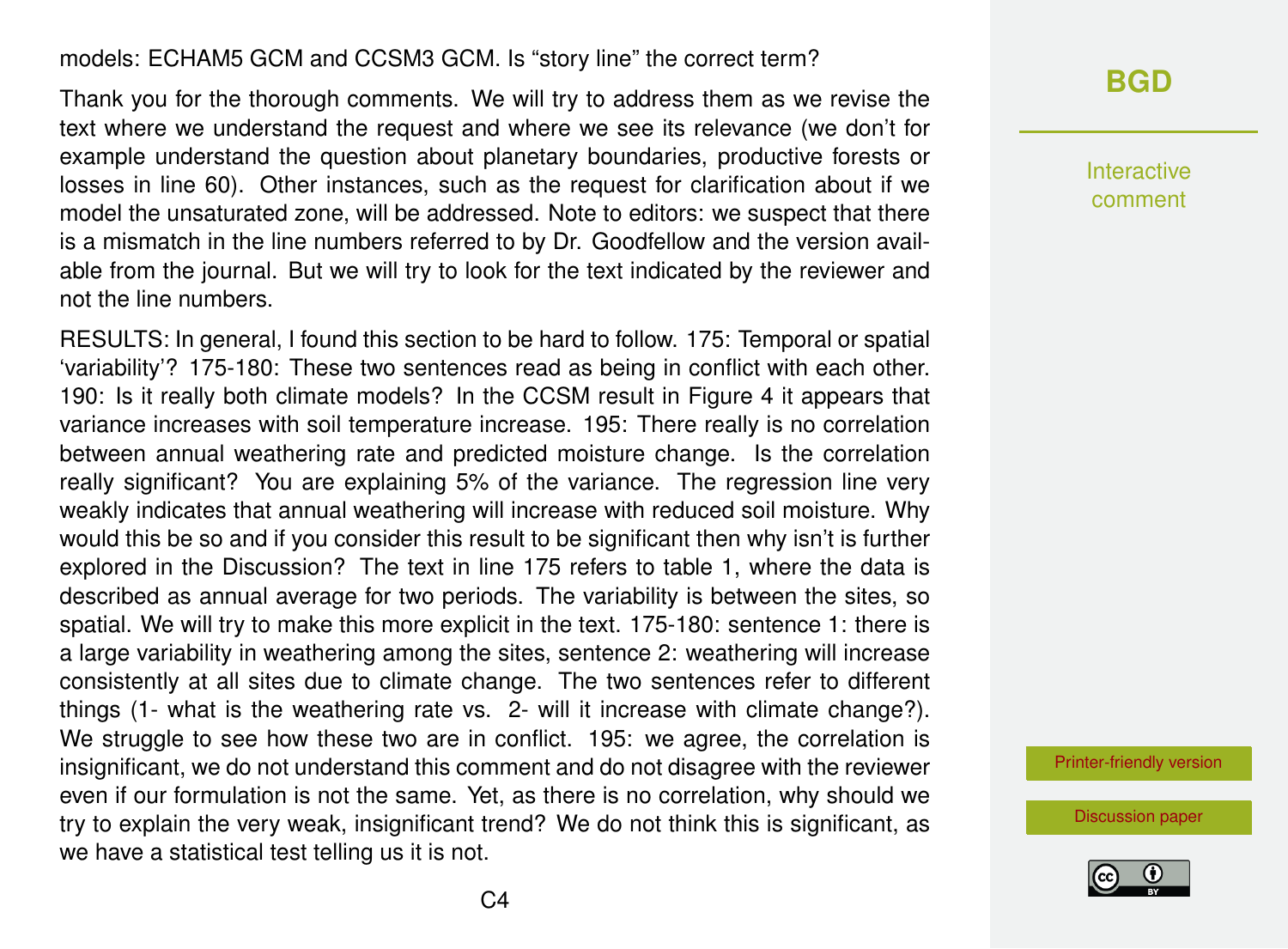#### models: ECHAM5 GCM and CCSM3 GCM. Is "story line" the correct term?

Thank you for the thorough comments. We will try to address them as we revise the text where we understand the request and where we see its relevance (we don't for example understand the question about planetary boundaries, productive forests or losses in line 60). Other instances, such as the request for clarification about if we model the unsaturated zone, will be addressed. Note to editors: we suspect that there is a mismatch in the line numbers referred to by Dr. Goodfellow and the version available from the journal. But we will try to look for the text indicated by the reviewer and not the line numbers.

RESULTS: In general, I found this section to be hard to follow. 175: Temporal or spatial 'variability'? 175-180: These two sentences read as being in conflict with each other. 190: Is it really both climate models? In the CCSM result in Figure 4 it appears that variance increases with soil temperature increase. 195: There really is no correlation between annual weathering rate and predicted moisture change. Is the correlation really significant? You are explaining 5% of the variance. The regression line very weakly indicates that annual weathering will increase with reduced soil moisture. Why would this be so and if you consider this result to be significant then why isn't is further explored in the Discussion? The text in line 175 refers to table 1, where the data is described as annual average for two periods. The variability is between the sites, so spatial. We will try to make this more explicit in the text. 175-180: sentence 1: there is a large variability in weathering among the sites, sentence 2: weathering will increase consistently at all sites due to climate change. The two sentences refer to different things (1- what is the weathering rate vs. 2- will it increase with climate change?). We struggle to see how these two are in conflict. 195: we agree, the correlation is insignificant, we do not understand this comment and do not disagree with the reviewer even if our formulation is not the same. Yet, as there is no correlation, why should we try to explain the very weak, insignificant trend? We do not think this is significant, as we have a statistical test telling us it is not.

### **[BGD](https://www.biogeosciences-discuss.net/)**

Interactive comment

[Printer-friendly version](https://www.biogeosciences-discuss.net/bg-2019-44/bg-2019-44-AC4-print.pdf)